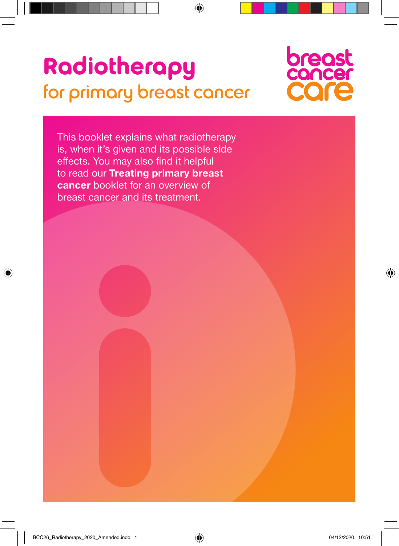# **Radiotherapy**  for primary breast cancer



This booklet explains what radiotherapy is, when it's given and its possible side effects. You may also find it helpful to read our **Treating primary breast cancer** booklet for an overview of breast cancer and its treatment.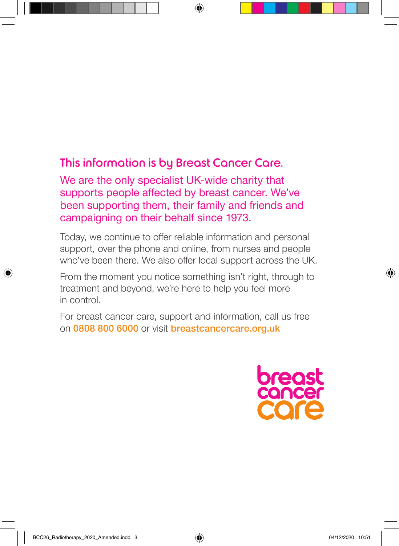## This information is by Breast Cancer Care.

We are the only specialist UK-wide charity that supports people affected by breast cancer. We've been supporting them, their family and friends and campaigning on their behalf since 1973.

Today, we continue to offer reliable information and personal support, over the phone and online, from nurses and people who've been there. We also offer local support across the UK.

From the moment you notice something isn't right, through to treatment and beyond, we're here to help you feel more in control.

For breast cancer care, support and information, call us free on 0808 800 6000 or visit breastcancercare.org.uk

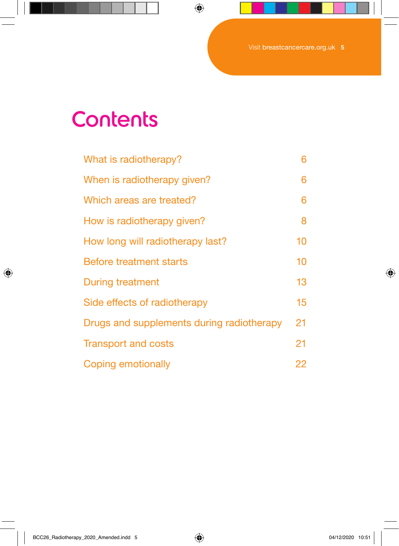## **Contents**

| What is radiotherapy?                     | 6  |
|-------------------------------------------|----|
| When is radiotherapy given?               | 6  |
| Which areas are treated?                  | 6  |
| How is radiotherapy given?                | 8  |
| How long will radiotherapy last?          | 10 |
| Before treatment starts                   | 10 |
| <b>During treatment</b>                   | 13 |
| Side effects of radiotherapy              | 15 |
| Drugs and supplements during radiotherapy | 21 |
| <b>Transport and costs</b>                | 21 |
| Coping emotionally                        | 22 |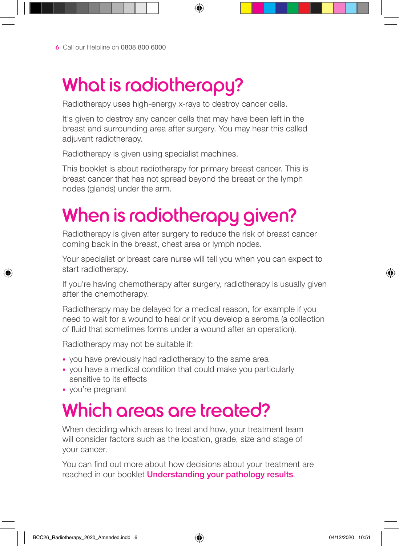## What is radiotherapy?

Radiotherapy uses high-energy x-rays to destroy cancer cells.

It's given to destroy any cancer cells that may have been left in the breast and surrounding area after surgery. You may hear this called adjuvant radiotherapy.

Radiotherapy is given using specialist machines.

This booklet is about radiotherapy for primary breast cancer. This is breast cancer that has not spread beyond the breast or the lymph nodes (glands) under the arm.

# When is radiotherapy given?

Radiotherapy is given after surgery to reduce the risk of breast cancer coming back in the breast, chest area or lymph nodes.

Your specialist or breast care nurse will tell you when you can expect to start radiotherapy.

If you're having chemotherapy after surgery, radiotherapy is usually given after the chemotherapy.

Radiotherapy may be delayed for a medical reason, for example if you need to wait for a wound to heal or if you develop a seroma (a collection of fluid that sometimes forms under a wound after an operation).

Radiotherapy may not be suitable if:

- you have previously had radiotherapy to the same area
- you have a medical condition that could make you particularly sensitive to its effects
- you're pregnant

## Which areas are treated?

When deciding which areas to treat and how, your treatment team will consider factors such as the location, grade, size and stage of your cancer.

You can find out more about how decisions about your treatment are reached in our booklet **Understanding your pathology results**.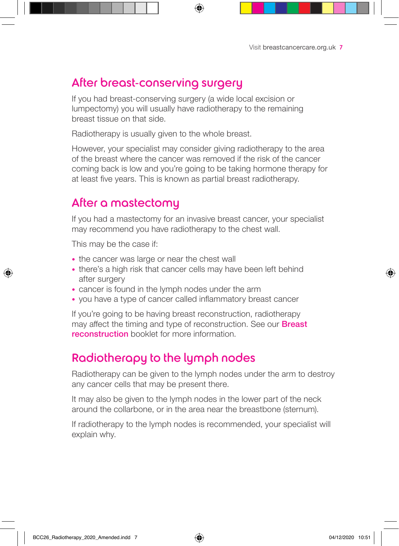## After breast-conserving surgery

If you had breast-conserving surgery (a wide local excision or lumpectomy) you will usually have radiotherapy to the remaining breast tissue on that side.

Radiotherapy is usually given to the whole breast.

However, your specialist may consider giving radiotherapy to the area of the breast where the cancer was removed if the risk of the cancer coming back is low and you're going to be taking hormone therapy for at least five years. This is known as partial breast radiotherapy.

### After a mastectomy

If you had a mastectomy for an invasive breast cancer, your specialist may recommend you have radiotherapy to the chest wall.

This may be the case if:

- the cancer was large or near the chest wall
- there's a high risk that cancer cells may have been left behind after surgery
- cancer is found in the lymph nodes under the arm
- you have a type of cancer called inflammatory breast cancer

If you're going to be having breast reconstruction, radiotherapy may affect the timing and type of reconstruction. See our **Breast reconstruction** booklet for more information.

## Radiotherapy to the lymph nodes

Radiotherapy can be given to the lymph nodes under the arm to destroy any cancer cells that may be present there.

It may also be given to the lymph nodes in the lower part of the neck around the collarbone, or in the area near the breastbone (sternum).

If radiotherapy to the lymph nodes is recommended, your specialist will explain why.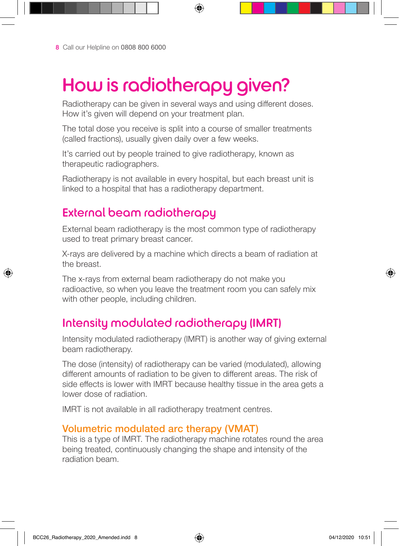# How is radiotherapy given?

Radiotherapy can be given in several ways and using different doses. How it's given will depend on your treatment plan.

The total dose you receive is split into a course of smaller treatments (called fractions), usually given daily over a few weeks.

It's carried out by people trained to give radiotherapy, known as therapeutic radiographers.

Radiotherapy is not available in every hospital, but each breast unit is linked to a hospital that has a radiotherapy department.

### External beam radiotherapy

External beam radiotherapy is the most common type of radiotherapy used to treat primary breast cancer.

X-rays are delivered by a machine which directs a beam of radiation at the breast.

The x-rays from external beam radiotherapy do not make you radioactive, so when you leave the treatment room you can safely mix with other people, including children.

## Intensity modulated radiotherapy (IMRT)

Intensity modulated radiotherapy (IMRT) is another way of giving external beam radiotherapy.

The dose (intensity) of radiotherapy can be varied (modulated), allowing different amounts of radiation to be given to different areas. The risk of side effects is lower with IMRT because healthy tissue in the area gets a lower dose of radiation.

IMRT is not available in all radiotherapy treatment centres.

#### Volumetric modulated arc therapy (VMAT)

This is a type of IMRT. The radiotherapy machine rotates round the area being treated, continuously changing the shape and intensity of the radiation beam.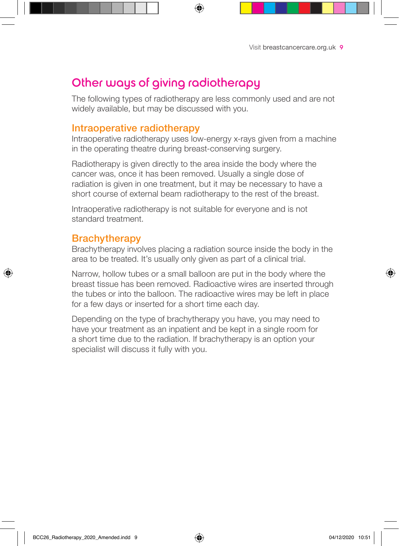## Other ways of giving radiotherapy

The following types of radiotherapy are less commonly used and are not widely available, but may be discussed with you.

#### Intraoperative radiotherapy

Intraoperative radiotherapy uses low-energy x-rays given from a machine in the operating theatre during breast-conserving surgery.

Radiotherapy is given directly to the area inside the body where the cancer was, once it has been removed. Usually a single dose of radiation is given in one treatment, but it may be necessary to have a short course of external beam radiotherapy to the rest of the breast.

Intraoperative radiotherapy is not suitable for everyone and is not standard treatment.

#### **Brachytherapy**

Brachytherapy involves placing a radiation source inside the body in the area to be treated. It's usually only given as part of a clinical trial.

Narrow, hollow tubes or a small balloon are put in the body where the breast tissue has been removed. Radioactive wires are inserted through the tubes or into the balloon. The radioactive wires may be left in place for a few days or inserted for a short time each day.

Depending on the type of brachytherapy you have, you may need to have your treatment as an inpatient and be kept in a single room for a short time due to the radiation. If brachytherapy is an option your specialist will discuss it fully with you.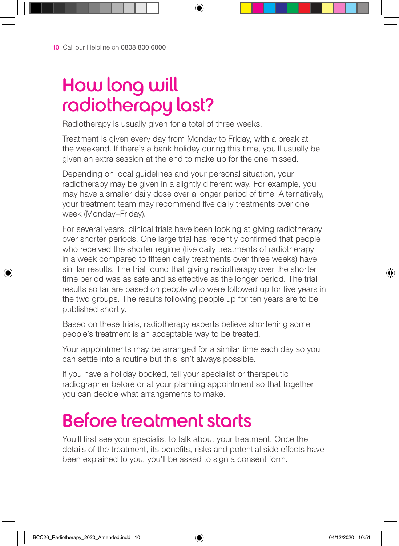## How long will radiotherapy last?

Radiotherapy is usually given for a total of three weeks.

Treatment is given every day from Monday to Friday, with a break at the weekend. If there's a bank holiday during this time, you'll usually be given an extra session at the end to make up for the one missed.

Depending on local guidelines and your personal situation, your radiotherapy may be given in a slightly different way. For example, you may have a smaller daily dose over a longer period of time. Alternatively, your treatment team may recommend five daily treatments over one week (Monday–Friday).

For several years, clinical trials have been looking at giving radiotherapy over shorter periods. One large trial has recently confirmed that people who received the shorter regime (five daily treatments of radiotherapy in a week compared to fifteen daily treatments over three weeks) have similar results. The trial found that giving radiotherapy over the shorter time period was as safe and as effective as the longer period. The trial results so far are based on people who were followed up for five years in the two groups. The results following people up for ten years are to be published shortly.

Based on these trials, radiotherapy experts believe shortening some people's treatment is an acceptable way to be treated.

Your appointments may be arranged for a similar time each day so you can settle into a routine but this isn't always possible.

If you have a holiday booked, tell your specialist or therapeutic radiographer before or at your planning appointment so that together you can decide what arrangements to make.

## Before treatment starts

You'll first see your specialist to talk about your treatment. Once the details of the treatment, its benefits, risks and potential side effects have been explained to you, you'll be asked to sign a consent form.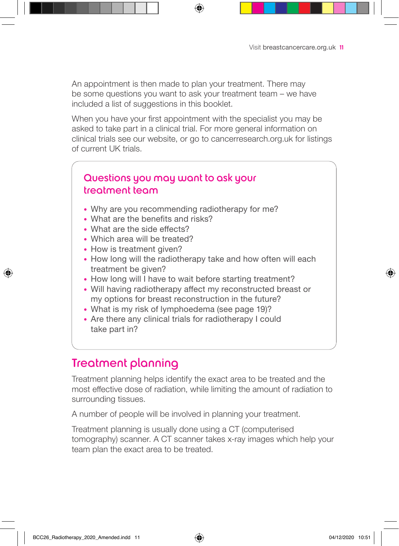An appointment is then made to plan your treatment. There may be some questions you want to ask your treatment team – we have included a list of suggestions in this booklet.

When you have your first appointment with the specialist you may be asked to take part in a clinical trial. For more general information on clinical trials see our website, or go to cancerresearch.org.uk for listings of current UK trials.

### Questions you may want to ask your treatment team

- Why are you recommending radiotherapy for me?
- What are the benefits and risks?
- What are the side effects?
- Which area will be treated?
- How is treatment given?
- How long will the radiotherapy take and how often will each treatment be given?
- How long will I have to wait before starting treatment?
- Will having radiotherapy affect my reconstructed breast or my options for breast reconstruction in the future?
- What is my risk of lymphoedema (see page 19)?
- Are there any clinical trials for radiotherapy I could take part in?

## Treatment planning

Treatment planning helps identify the exact area to be treated and the most effective dose of radiation, while limiting the amount of radiation to surrounding tissues.

A number of people will be involved in planning your treatment.

Treatment planning is usually done using a CT (computerised tomography) scanner. A CT scanner takes x-ray images which help your team plan the exact area to be treated.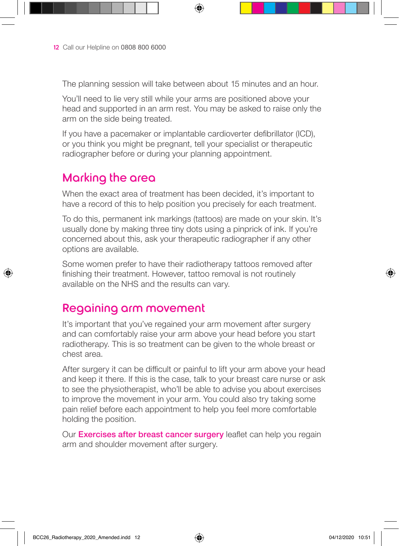The planning session will take between about 15 minutes and an hour.

You'll need to lie very still while your arms are positioned above your head and supported in an arm rest. You may be asked to raise only the arm on the side being treated.

If you have a pacemaker or implantable cardioverter defibrillator (ICD), or you think you might be pregnant, tell your specialist or therapeutic radiographer before or during your planning appointment.

## Marking the area

When the exact area of treatment has been decided, it's important to have a record of this to help position you precisely for each treatment.

To do this, permanent ink markings (tattoos) are made on your skin. It's usually done by making three tiny dots using a pinprick of ink. If you're concerned about this, ask your therapeutic radiographer if any other options are available.

Some women prefer to have their radiotherapy tattoos removed after finishing their treatment. However, tattoo removal is not routinely available on the NHS and the results can vary.

### Regaining arm movement

It's important that you've regained your arm movement after surgery and can comfortably raise your arm above your head before you start radiotherapy. This is so treatment can be given to the whole breast or chest area.

After surgery it can be difficult or painful to lift your arm above your head and keep it there. If this is the case, talk to your breast care nurse or ask to see the physiotherapist, who'll be able to advise you about exercises to improve the movement in your arm. You could also try taking some pain relief before each appointment to help you feel more comfortable holding the position.

Our **Exercises after breast cancer surgery** leaflet can help you regain arm and shoulder movement after surgery.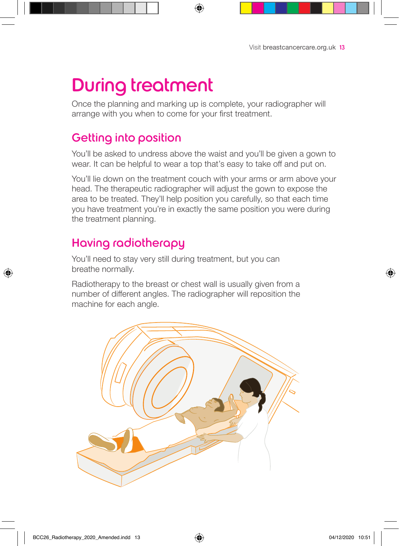## During treatment

Once the planning and marking up is complete, your radiographer will arrange with you when to come for your first treatment.

## Getting into position

You'll be asked to undress above the waist and you'll be given a gown to wear. It can be helpful to wear a top that's easy to take off and put on.

You'll lie down on the treatment couch with your arms or arm above your head. The therapeutic radiographer will adjust the gown to expose the area to be treated. They'll help position you carefully, so that each time you have treatment you're in exactly the same position you were during the treatment planning.

## Having radiotherapy

You'll need to stay very still during treatment, but you can breathe normally.

Radiotherapy to the breast or chest wall is usually given from a number of different angles. The radiographer will reposition the machine for each angle.

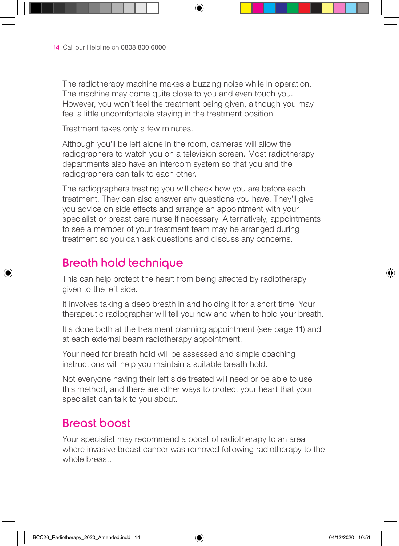The radiotherapy machine makes a buzzing noise while in operation. The machine may come quite close to you and even touch you. However, you won't feel the treatment being given, although you may feel a little uncomfortable staying in the treatment position.

Treatment takes only a few minutes.

Although you'll be left alone in the room, cameras will allow the radiographers to watch you on a television screen. Most radiotherapy departments also have an intercom system so that you and the radiographers can talk to each other.

The radiographers treating you will check how you are before each treatment. They can also answer any questions you have. They'll give you advice on side effects and arrange an appointment with your specialist or breast care nurse if necessary. Alternatively, appointments to see a member of your treatment team may be arranged during treatment so you can ask questions and discuss any concerns.

## Breath hold technique

This can help protect the heart from being affected by radiotherapy given to the left side.

It involves taking a deep breath in and holding it for a short time. Your therapeutic radiographer will tell you how and when to hold your breath.

It's done both at the treatment planning appointment (see page 11) and at each external beam radiotherapy appointment.

Your need for breath hold will be assessed and simple coaching instructions will help you maintain a suitable breath hold.

Not everyone having their left side treated will need or be able to use this method, and there are other ways to protect your heart that your specialist can talk to you about.

### Breast boost

Your specialist may recommend a boost of radiotherapy to an area where invasive breast cancer was removed following radiotherapy to the whole breast.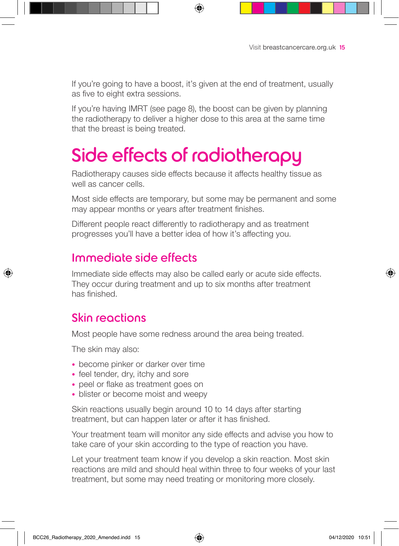If you're going to have a boost, it's given at the end of treatment, usually as five to eight extra sessions.

If you're having IMRT (see page 8), the boost can be given by planning the radiotherapy to deliver a higher dose to this area at the same time that the breast is being treated.

## Side effects of radiotherapy

Radiotherapy causes side effects because it affects healthy tissue as well as cancer cells.

Most side effects are temporary, but some may be permanent and some may appear months or years after treatment finishes.

Different people react differently to radiotherapy and as treatment progresses you'll have a better idea of how it's affecting you.

## Immediate side effects

Immediate side effects may also be called early or acute side effects. They occur during treatment and up to six months after treatment has finished.

## Skin reactions

Most people have some redness around the area being treated.

The skin may also:

- become pinker or darker over time
- feel tender, dry, itchy and sore
- peel or flake as treatment goes on
- blister or become moist and weepy

Skin reactions usually begin around 10 to 14 days after starting treatment, but can happen later or after it has finished.

Your treatment team will monitor any side effects and advise you how to take care of your skin according to the type of reaction you have.

Let your treatment team know if you develop a skin reaction. Most skin reactions are mild and should heal within three to four weeks of your last treatment, but some may need treating or monitoring more closely.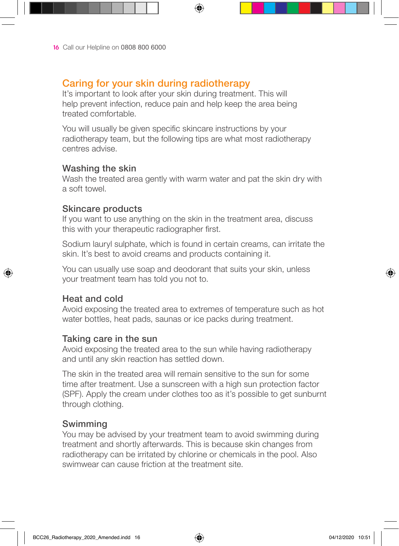#### Caring for your skin during radiotherapy

It's important to look after your skin during treatment. This will help prevent infection, reduce pain and help keep the area being treated comfortable.

You will usually be given specific skincare instructions by your radiotherapy team, but the following tips are what most radiotherapy centres advise.

#### Washing the skin

Wash the treated area gently with warm water and pat the skin dry with a soft towel.

#### Skincare products

If you want to use anything on the skin in the treatment area, discuss this with your therapeutic radiographer first.

Sodium lauryl sulphate, which is found in certain creams, can irritate the skin. It's best to avoid creams and products containing it.

You can usually use soap and deodorant that suits your skin, unless your treatment team has told you not to.

#### Heat and cold

Avoid exposing the treated area to extremes of temperature such as hot water bottles, heat pads, saunas or ice packs during treatment.

#### Taking care in the sun

Avoid exposing the treated area to the sun while having radiotherapy and until any skin reaction has settled down.

The skin in the treated area will remain sensitive to the sun for some time after treatment. Use a sunscreen with a high sun protection factor (SPF). Apply the cream under clothes too as it's possible to get sunburnt through clothing.

#### Swimming

You may be advised by your treatment team to avoid swimming during treatment and shortly afterwards. This is because skin changes from radiotherapy can be irritated by chlorine or chemicals in the pool. Also swimwear can cause friction at the treatment site.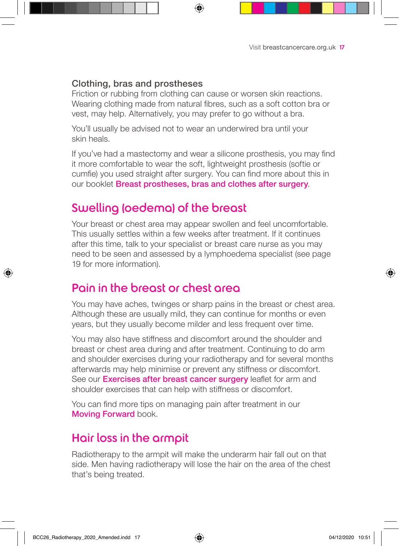#### Clothing, bras and prostheses

Friction or rubbing from clothing can cause or worsen skin reactions. Wearing clothing made from natural fibres, such as a soft cotton bra or vest, may help. Alternatively, you may prefer to go without a bra.

You'll usually be advised not to wear an underwired bra until your skin heals.

If you've had a mastectomy and wear a silicone prosthesis, you may find it more comfortable to wear the soft, lightweight prosthesis (softie or cumfie) you used straight after surgery. You can find more about this in our booklet Breast prostheses, bras and clothes after surgery.

### Swelling (oedema) of the breast

Your breast or chest area may appear swollen and feel uncomfortable. This usually settles within a few weeks after treatment. If it continues after this time, talk to your specialist or breast care nurse as you may need to be seen and assessed by a lymphoedema specialist (see page 19 for more information).

### Pain in the breast or chest area

You may have aches, twinges or sharp pains in the breast or chest area. Although these are usually mild, they can continue for months or even years, but they usually become milder and less frequent over time.

You may also have stiffness and discomfort around the shoulder and breast or chest area during and after treatment. Continuing to do arm and shoulder exercises during your radiotherapy and for several months afterwards may help minimise or prevent any stiffness or discomfort. See our **Exercises after breast cancer surgery** leaflet for arm and shoulder exercises that can help with stiffness or discomfort.

You can find more tips on managing pain after treatment in our Moving Forward book.

## Hair loss in the armpit

Radiotherapy to the armpit will make the underarm hair fall out on that side. Men having radiotherapy will lose the hair on the area of the chest that's being treated.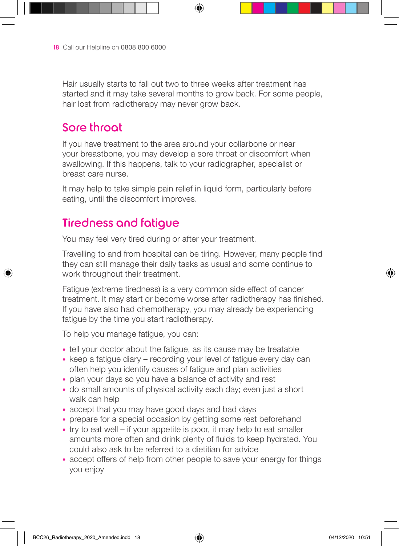Hair usually starts to fall out two to three weeks after treatment has started and it may take several months to grow back. For some people, hair lost from radiotherapy may never grow back.

## Sore throat

If you have treatment to the area around your collarbone or near your breastbone, you may develop a sore throat or discomfort when swallowing. If this happens, talk to your radiographer, specialist or breast care nurse.

It may help to take simple pain relief in liquid form, particularly before eating, until the discomfort improves.

## Tiredness and fatigue

You may feel very tired during or after your treatment.

Travelling to and from hospital can be tiring. However, many people find they can still manage their daily tasks as usual and some continue to work throughout their treatment.

Fatigue (extreme tiredness) is a very common side effect of cancer treatment. It may start or become worse after radiotherapy has finished. If you have also had chemotherapy, you may already be experiencing fatigue by the time you start radiotherapy.

To help you manage fatigue, you can:

- tell your doctor about the fatigue, as its cause may be treatable
- keep a fatigue diary recording your level of fatigue every day can often help you identify causes of fatigue and plan activities
- plan your days so you have a balance of activity and rest
- do small amounts of physical activity each day; even just a short walk can help
- accept that you may have good days and bad days
- prepare for a special occasion by getting some rest beforehand
- try to eat well if your appetite is poor, it may help to eat smaller amounts more often and drink plenty of fluids to keep hydrated. You could also ask to be referred to a dietitian for advice
- accept offers of help from other people to save your energy for things you enjoy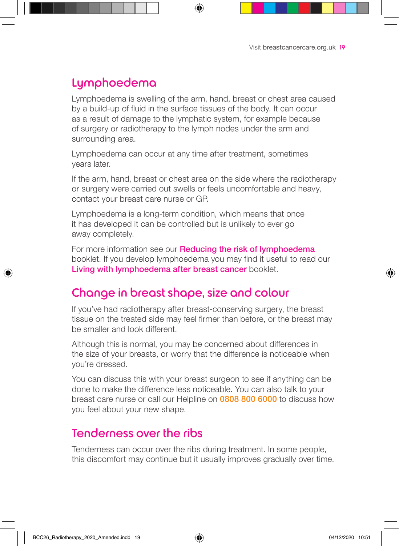## Lymphoedema

Lymphoedema is swelling of the arm, hand, breast or chest area caused by a build-up of fluid in the surface tissues of the body. It can occur as a result of damage to the lymphatic system, for example because of surgery or radiotherapy to the lymph nodes under the arm and surrounding area.

Lymphoedema can occur at any time after treatment, sometimes years later.

If the arm, hand, breast or chest area on the side where the radiotherapy or surgery were carried out swells or feels uncomfortable and heavy, contact your breast care nurse or GP.

Lymphoedema is a long-term condition, which means that once it has developed it can be controlled but is unlikely to ever go away completely.

For more information see our **Reducing the risk of lymphoedema** booklet. If you develop lymphoedema you may find it useful to read our Living with lymphoedema after breast cancer booklet.

## Change in breast shape, size and colour

If you've had radiotherapy after breast-conserving surgery, the breast tissue on the treated side may feel firmer than before, or the breast may be smaller and look different.

Although this is normal, you may be concerned about differences in the size of your breasts, or worry that the difference is noticeable when you're dressed.

You can discuss this with your breast surgeon to see if anything can be done to make the difference less noticeable. You can also talk to your breast care nurse or call our Helpline on 0808 800 6000 to discuss how you feel about your new shape.

### Tenderness over the ribs

Tenderness can occur over the ribs during treatment. In some people, this discomfort may continue but it usually improves gradually over time.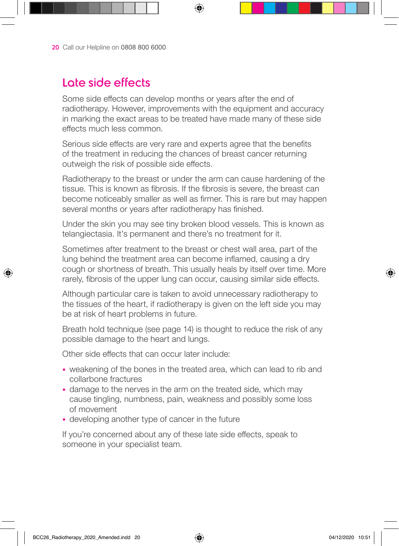## Late side effects

Some side effects can develop months or years after the end of radiotherapy. However, improvements with the equipment and accuracy in marking the exact areas to be treated have made many of these side effects much less common.

Serious side effects are very rare and experts agree that the benefits of the treatment in reducing the chances of breast cancer returning outweigh the risk of possible side effects.

Radiotherapy to the breast or under the arm can cause hardening of the tissue. This is known as fibrosis. If the fibrosis is severe, the breast can become noticeably smaller as well as firmer. This is rare but may happen several months or years after radiotherapy has finished.

Under the skin you may see tiny broken blood vessels. This is known as telangiectasia. It's permanent and there's no treatment for it.

Sometimes after treatment to the breast or chest wall area, part of the lung behind the treatment area can become inflamed, causing a dry cough or shortness of breath. This usually heals by itself over time. More rarely, fibrosis of the upper lung can occur, causing similar side effects.

Although particular care is taken to avoid unnecessary radiotherapy to the tissues of the heart, if radiotherapy is given on the left side you may be at risk of heart problems in future.

Breath hold technique (see page 14) is thought to reduce the risk of any possible damage to the heart and lungs.

Other side effects that can occur later include:

- weakening of the bones in the treated area, which can lead to rib and collarbone fractures
- damage to the nerves in the arm on the treated side, which may cause tingling, numbness, pain, weakness and possibly some loss of movement
- developing another type of cancer in the future

If you're concerned about any of these late side effects, speak to someone in your specialist team.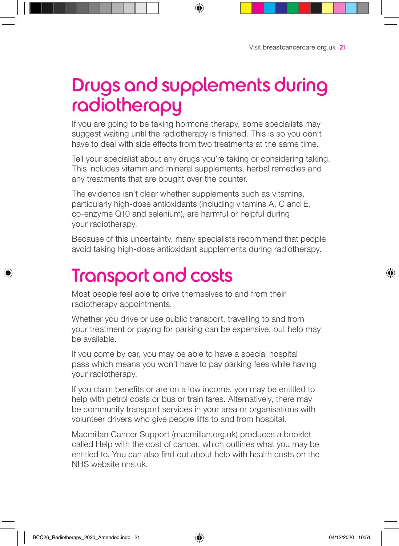## Drugs and supplements during radiotherapy

If you are going to be taking hormone therapy, some specialists may suggest waiting until the radiotherapy is finished. This is so you don't have to deal with side effects from two treatments at the same time.

Tell your specialist about any drugs you're taking or considering taking. This includes vitamin and mineral supplements, herbal remedies and any treatments that are bought over the counter.

The evidence isn't clear whether supplements such as vitamins, particularly high-dose antioxidants (including vitamins A, C and E, co-enzyme Q10 and selenium), are harmful or helpful during your radiotherapy.

Because of this uncertainty, many specialists recommend that people avoid taking high-dose antioxidant supplements during radiotherapy.

## Transport and costs

Most people feel able to drive themselves to and from their radiotherapy appointments.

Whether you drive or use public transport, travelling to and from your treatment or paying for parking can be expensive, but help may be available.

If you come by car, you may be able to have a special hospital pass which means you won't have to pay parking fees while having your radiotherapy.

If you claim benefits or are on a low income, you may be entitled to help with petrol costs or bus or train fares. Alternatively, there may be community transport services in your area or organisations with volunteer drivers who give people lifts to and from hospital.

Macmillan Cancer Support (macmillan.org.uk) produces a booklet called Help with the cost of cancer, which outlines what you may be entitled to. You can also find out about help with health costs on the NHS website nhs.uk.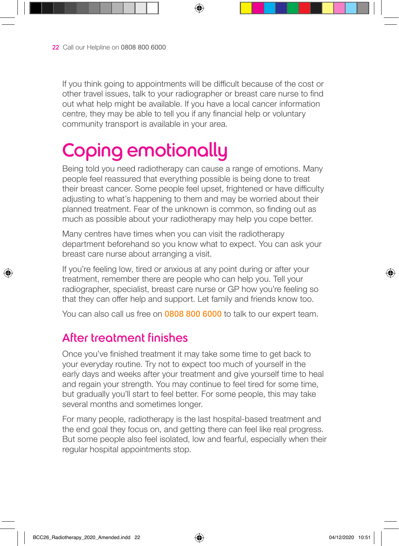If you think going to appointments will be difficult because of the cost or other travel issues, talk to your radiographer or breast care nurse to find out what help might be available. If you have a local cancer information centre, they may be able to tell you if any financial help or voluntary community transport is available in your area.

# Coping emotionally

Being told you need radiotherapy can cause a range of emotions. Many people feel reassured that everything possible is being done to treat their breast cancer. Some people feel upset, frightened or have difficulty adjusting to what's happening to them and may be worried about their planned treatment. Fear of the unknown is common, so finding out as much as possible about your radiotherapy may help you cope better.

Many centres have times when you can visit the radiotherapy department beforehand so you know what to expect. You can ask your breast care nurse about arranging a visit.

If you're feeling low, tired or anxious at any point during or after your treatment, remember there are people who can help you. Tell your radiographer, specialist, breast care nurse or GP how you're feeling so that they can offer help and support. Let family and friends know too.

You can also call us free on 0808 800 6000 to talk to our expert team.

## After treatment finishes

Once you've finished treatment it may take some time to get back to your everyday routine. Try not to expect too much of yourself in the early days and weeks after your treatment and give yourself time to heal and regain your strength. You may continue to feel tired for some time, but gradually you'll start to feel better. For some people, this may take several months and sometimes longer.

For many people, radiotherapy is the last hospital-based treatment and the end goal they focus on, and getting there can feel like real progress. But some people also feel isolated, low and fearful, especially when their regular hospital appointments stop.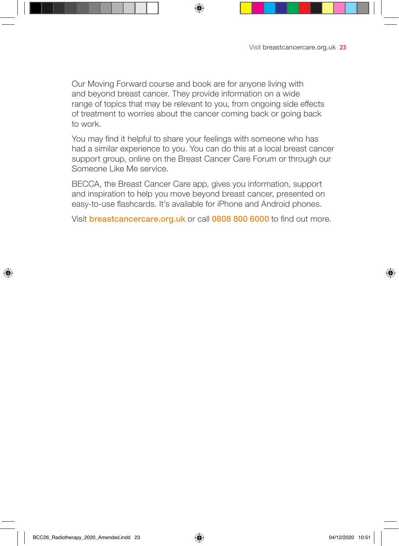Our Moving Forward course and book are for anyone living with and beyond breast cancer. They provide information on a wide range of topics that may be relevant to you, from ongoing side effects of treatment to worries about the cancer coming back or going back to work.

You may find it helpful to share your feelings with someone who has had a similar experience to you. You can do this at a local breast cancer support group, online on the Breast Cancer Care Forum or through our Someone Like Me service.

BECCA, the Breast Cancer Care app, gives you information, support and inspiration to help you move beyond breast cancer, presented on easy-to-use flashcards. It's available for iPhone and Android phones.

Visit breastcancercare.org.uk or call 0808 800 6000 to find out more.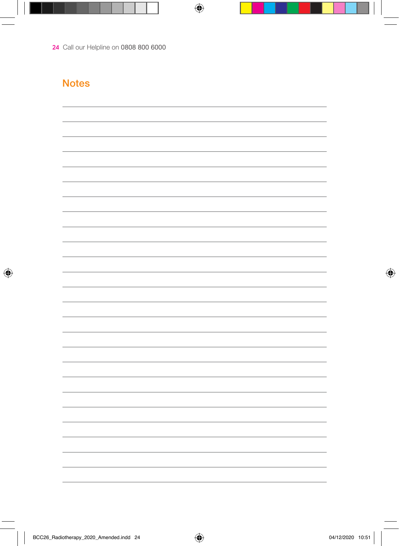#### **Notes**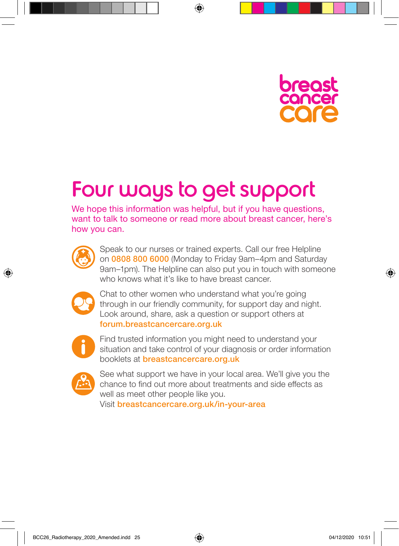

# Four ways to get support

We hope this information was helpful, but if you have questions, want to talk to someone or read more about breast cancer, here's how you can.



Speak to our nurses or trained experts. Call our free Helpline on 0808 800 6000 (Monday to Friday 9am–4pm and Saturday 9am–1pm). The Helpline can also put you in touch with someone who knows what it's like to have breast cancer.



Chat to other women who understand what you're going through in our friendly community, for support day and night. Look around, share, ask a question or support others at forum.breastcancercare.org.uk



Find trusted information you might need to understand your situation and take control of your diagnosis or order information booklets at breastcancercare.org.uk



See what support we have in your local area. We'll give you the chance to find out more about treatments and side effects as well as meet other people like you.

Visit breastcancercare.org.uk/in-your-area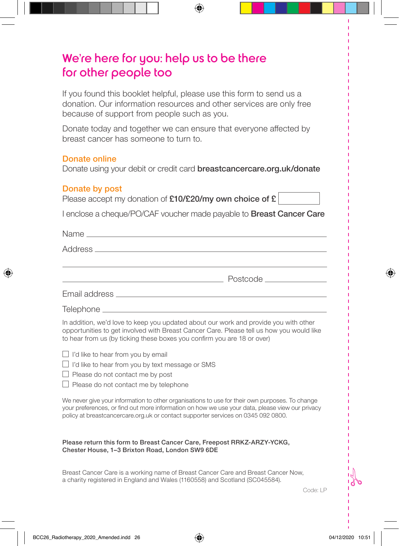## We're here for you: help us to be there for other people too

If you found this booklet helpful, please use this form to send us a donation. Our information resources and other services are only free because of support from people such as you.

Donate today and together we can ensure that everyone affected by breast cancer has someone to turn to.

#### Donate online

Donate using your debit or credit card **breastcancercare.org.uk/donate** 

#### Donate by post

|  |  |  | Please accept my donation of $£10/£20/my$ own choice of £ |
|--|--|--|-----------------------------------------------------------|
|--|--|--|-----------------------------------------------------------|

I enclose a cheque/PO/CAF voucher made payable to Breast Cancer Care

In addition, we'd love to keep you updated about our work and provide you with other opportunities to get involved with Breast Cancer Care. Please tell us how you would like to hear from us (by ticking these boxes you confirm you are 18 or over)

| $\Box$ I'd like to hear from you by email |  |  |  |
|-------------------------------------------|--|--|--|
|-------------------------------------------|--|--|--|

 $\Box$  I'd like to hear from you by text message or SMS

 $\Box$  Please do not contact me by post

 $\Box$  Please do not contact me by telephone

We never give your information to other organisations to use for their own purposes. To change your preferences, or find out more information on how we use your data, please view our privacy policy at breastcancercare.org.uk or contact supporter services on 0345 092 0800.

#### Please return this form to Breast Cancer Care, Freepost RRKZ-ARZY-YCKG, Chester House, 1–3 Brixton Road, London SW9 6DE

Breast Cancer Care is a working name of Breast Cancer Care and Breast Cancer Now, a charity registered in England and Wales (1160558) and Scotland (SC045584).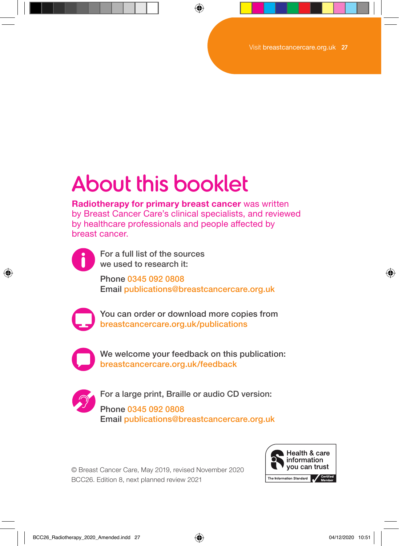# About this booklet

**Radiotherapy for primary breast cancer** was written by Breast Cancer Care's clinical specialists, and reviewed by healthcare professionals and people affected by breast cancer.



For a full list of the sources we used to research it:

Phone 0345 092 0808 Email publications@breastcancercare.org.uk



You can order or download more copies from breastcancercare.org.uk/publications



We welcome your feedback on this publication: breastcancercare.org.uk/feedback



For a large print, Braille or audio CD version: Phone 0345 092 0808 Email publications@breastcancercare.org.uk

© Breast Cancer Care, May 2019, revised November 2020 BCC26. Edition 8, next planned review 2021